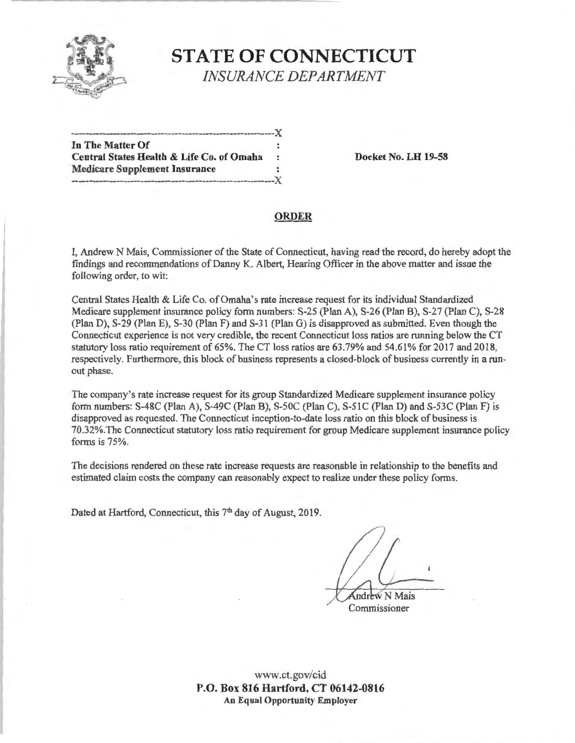

# **STATE OF CONNECTICUT**  *INSURANCE DEPARTMENT*

| In The Matter Of                                                                                                                                                                                                              |   |
|-------------------------------------------------------------------------------------------------------------------------------------------------------------------------------------------------------------------------------|---|
| Central States Health & Life Co. of Omaha                                                                                                                                                                                     | ÷ |
| <b>Medicare Supplement Insurance</b>                                                                                                                                                                                          |   |
| 1 . The state of the term of the column state of the set of the set of the set of the set of the set of the set of the set of the set of the set of the set of the set of the set of the set of the set of the set of the set |   |

**Docket No. LH 19-58** 

#### **ORDER**

I, Andrew N Mais, Commissioner of the State of Connecticut, having read the record, do hereby adopt the findings and recommendations of Danny K. Albert, Hearing Officer in the above matter and issue the following order, to wit:

Central States Health & Life Co. of Omaha's rate increase request for its individual Standardized Medicare supplement insurance policy form numbers: S-25 (Plan A), S-26 (Plan B), S-27 (Plan C), S-28 (Plan D), S-29 (Plan E), S-30 (Plan F) and S-31 (Plan G) is disapproved as submitted. Even though the Connecticut experience is not very credible, the recent Connecticut loss ratios are running below the CT statutory loss ratio requirement of 65%. The CT loss ratios are 63.79% and 54.61% for 2017 and 2018, respectively. Furthermore, this block of business represents a closed-block of business currently in a runout phase.

The company's rate increase request for its group Standardized Medicare supplement insurance policy form numbers:  $S-48C$  (Plan A),  $S-49C$  (Plan B),  $S-50C$  (Plan C),  $S-51C$  (Plan D) and  $S-53C$  (Plan F) is disapproved as requested. The Connecticut inception-to-date loss ratio on this block of business is 70.32%.The Connecticut statutory loss ratio requirement for group Medicare supplement insurance policy forms is 75%.

The decisions rendered on these rate increase requests are reasonable in relationship to the benefits and estimated claim costs the company can reasonably expect to realize under these policy forms.

Dated at Hartford, Connecticut, this 7<sup>th</sup> day of August, 2019.

ndrew N Mais

Commissioner

www.ct.gov/cid **P.O. Box 816 Hartford, CT 06142-0816 An Equal Opportunity Employer**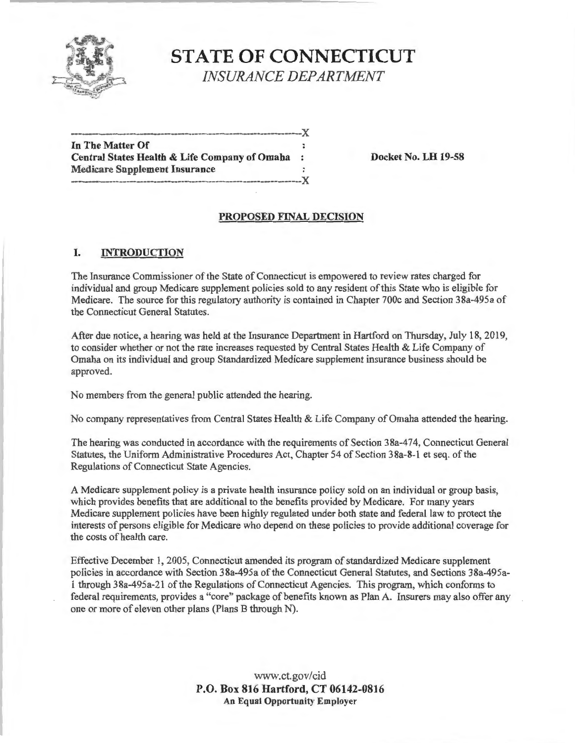

## **STATE OF CONNECTICUT**  *INSURANCE DEPARTMENT*

| In The Matter Of                              |            |
|-----------------------------------------------|------------|
| Central States Health & Life Company of Omaha | $\ddot{z}$ |
| <b>Medicare Supplement Insurance</b>          |            |
|                                               |            |

**Docket No. LH 19-58** 

#### **PROPOSED FINAL DECISION**

#### I. **INTRODUCTION**

The Insurance Commissioner of the State of Connecticut is empowered to review rates charged for individual and group Medicare supplement policies sold to any resident of this State who is eligible for Medicare. The source for this regulatory authority is contained in Chapter 700c and Section 38a-495a of the Connecticut General Statutes.

After due notice, a hearing was held at the Insurance Department in Hartford on Thursday, July 18, 2019, to consider whether or not the rate increases requested by Central States Health & Life Company of Omaha on its individual and group Standardized Medicare supplement insurance business should be approved.

No members from the general public attended the hearing.

No company representatives from Central States Health & Life Company of Omaha attended the hearing.

The hearing was conducted in accordance with the requirements of Section 38a-474, Connecticut General Statutes, the Uniform Administrative Procedures Act, Chapter 54 of Section 38a-8-1 et seq. of the Regulations of Connecticut State Agencies.

A Medicare supplement policy is a private health insurance policy sold on an individual or group basis, which provides benefits that are additional to the benefits provided by Medicare. For many years Medicare supplement policies have been highly regulated under both state and federal law to protect the interests of persons eligible for Medicare who depend on these policies to provide additional coverage for the costs of health care.

Effective December 1, 2005, Connecticut amended its program of standardized Medicare supplement policies in accordance with Section 38a-495a of the Connecticut General Statutes, and Sections 38a-495a-1 through 38a-495a-21 of the Regulations of Connecticut Agencies. This program, which conforms to federal requirements, provides a "core" package of benefits known as Plan A. Insurers may also offer any one or more of eleven other plans (Plans B through N).

> www.ct.gov/cid **P.O. Box 816 Hartford, CT 06142-0816 An Equal Opportunity Employer**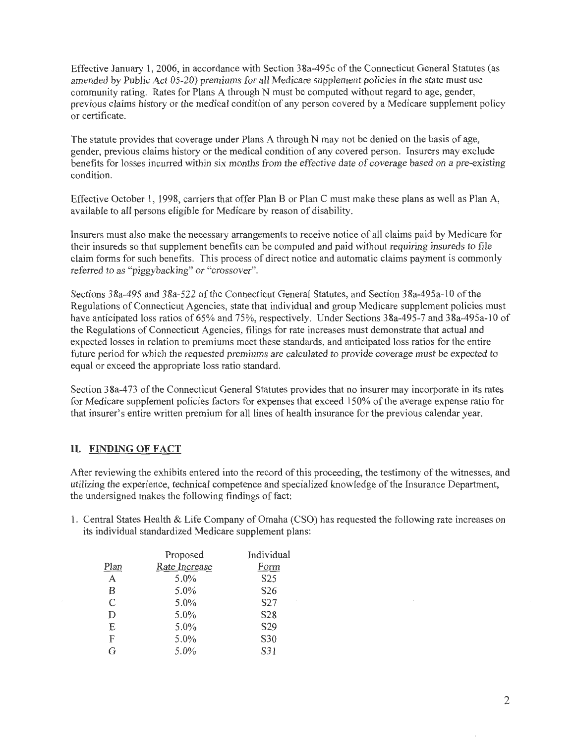Effective January 1, 2006, in accordance with Section 38a-495c of the Connecticut General Statutes (as amended by Public Act 05-20) premiums for all Medicare supplement policies in the state must use community rating. Rates for Plans A through N must be computed without regard to age, gender, previous claims history or the medical condition of any person covered by a Medicare supplement policy or certificate.

The statute provides that coverage under Plans A through N may not be denied on the basis of age, gender, previous claims history or the medical condition of any covered person. Insurers may exclude benefits for losses incurred within six months from the effective date of coverage based on a pre-existing condition.

Effective October 1, 1998, carriers that offer Plan B or Plan C must make these plans as well as Plan A, available to all persons eligible for Medicare by reason of disability.

Insurers must also make the necessary arrangements to receive notice of all claims paid by Medicare for their insureds so that supplement benefits can be computed and paid without requiring insureds to file claim forms for such benefits. This process of direct notice and automatic claims payment is commonly referred to as "piggybacking" or "crossover".

Sections 38a-495 and 38a-522 of the Connecticut General Statutes, and Section 38a-495a-10 of the Regulations of Connecticut Agencies, state that individual and group Medicare supplement policies must have anticipated loss ratios of 65% and 75%, respectively. Under Sections 38a-495-7 and 38a-495a-10 of the Regulations of Connecticut Agencies, filings for rate increases must demonstrate that actual and expected losses in relation to premiums meet these standards, and anticipated loss ratios for the entire future period for which the requested premiums are calculated to provide coverage must be expected to equal or exceed the appropriate loss ratio standard.

Section 3 8a-4 73 of the Connecticut General Statutes provides that no insurer may incorporate in its rates for Medicare supplement policies factors for expenses that exceed 150% of the average expense ratio for that insurer's entire written premium for all lines of health insurance for the previous calendar year.

### **II. FINDING OF FACT**

After reviewing the exhibits entered into the record of this proceeding, the testimony of the witnesses, and utilizing the experience, technical competence and specialized knowledge of the Insurance Department, the undersigned makes the following findings of fact:

1. Central States Health & Life Company of Omaha (CSO) has requested the following rate increases on its individual standardized Medicare supplement plans:

|                | Proposed      | Individual       |
|----------------|---------------|------------------|
| Plan           | Rate Increase | Form             |
| A              | 5.0%          | S <sub>25</sub>  |
| B              | 5.0%          | S <sub>26</sub>  |
| $\overline{C}$ | 5.0%          | S27              |
| D              | 5.0%          | S <sub>2</sub> 8 |
| E              | 5.0%          | S29              |
| F              | 5.0%          | S30              |
| G              | 5.0%          | S31              |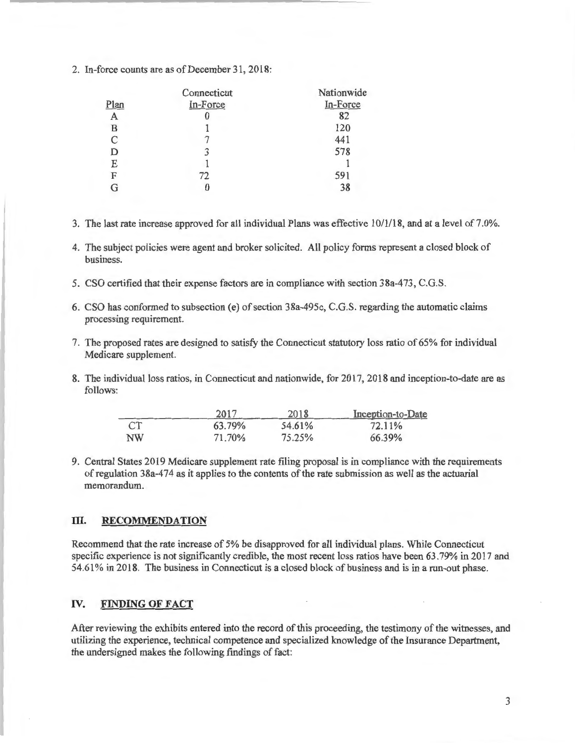2. In-force counts are as of December 31, 2018:

|      | Connecticut | Nationwide |
|------|-------------|------------|
| Plan | In-Force    | In-Force   |
| A    | O           | 82         |
| в    |             | 120        |
| C    |             | 441        |
|      | 3           | 578        |
| E    |             |            |
| F    | 72          | 591        |
|      |             | 38         |

- 3. The last rate increase approved for all individual Plans was effective 10/1/18, and at a level of 7 .0%.
- 4. The subject policies were agent and broker solicited. All policy forms represent a closed block of business.
- 5. CSO certified that their expense factors are in compliance with section 38a-473, C.G.S.
- 6. CSO has conformed to subsection ( e) of section 3 8a-495c, C.G.S. regarding the automatic claims processing requirement.
- 7. The proposed rates are designed to satisfy the Connecticut statutory loss ratio of 65% for individual Medicare supplement.
- 8. The individual loss ratios, in Connecticut and nationwide, for 2017, 2018 and inception-to-date are as follows:

|           | 2017   | 2018   | Inception-to-Date |
|-----------|--------|--------|-------------------|
| <b>CT</b> | 63.79% | 54.61% | 72.11%            |
| NW        | 71.70% | 75.25% | 66.39%            |

9. Central States 2019 Medicare supplement rate filing proposal is in compliance with the requirements ofregulation 38a-474 as it applies to the contents of the rate submission as well as the actuarial memorandum.

#### **III. RECOMMENDATION**

Recommend that the rate increase of 5% be disapproved for all individual plans. While Connecticut specific experience is not significantly credible, the most recent loss ratios have been 63.79% in 2017 and 54.61 % in 2018. The business in Connecticut is a closed block of business and is in a run-out phase.

### **IV. FINDING OF FACT**

After reviewing the exhibits entered into the record of this proceeding, the testimony of the witnesses, and utilizing the experience, technical competence and specialized knowledge of the Insurance Department, the undersigned makes the following findings of fact: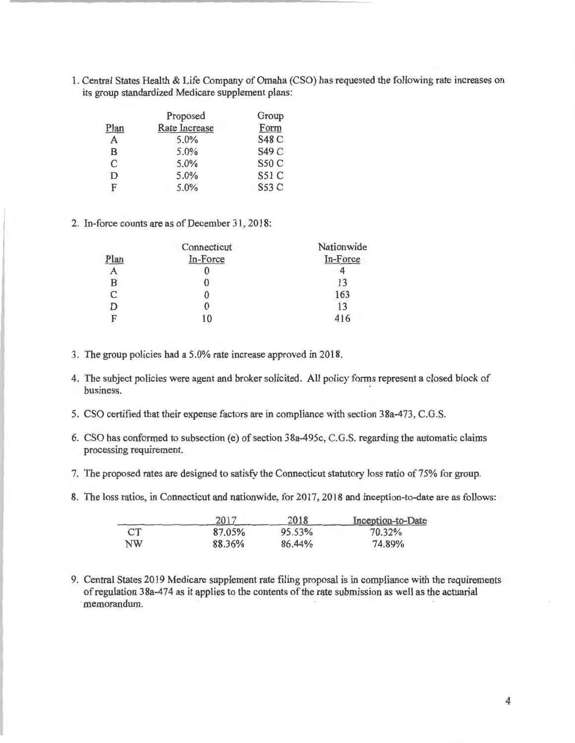1. Central States Health & Life Company of Omaha (CSO) has requested the following rate increases on its group standardized Medicare supplement plans:

|              | Proposed      | Group        |
|--------------|---------------|--------------|
| Plan         | Rate Increase | Form         |
| $\mathbf{A}$ | 5.0%          | <b>S48 C</b> |
| B            | 5.0%          | S49 C        |
| C            | 5.0%          | <b>S50 C</b> |
| D            | 5.0%          | <b>S51 C</b> |
| F            | 5.0%          | S53 C        |

2. In-force counts are as of December 31, 2018:

|      | Connecticut | Nationwide |
|------|-------------|------------|
| Plan | In-Force    | In-Force   |
|      |             |            |
| B    |             | 13         |
| C    |             | 163        |
|      |             | 13         |
| F    | 10          |            |

- 3. The group policies had a 5.0% rate increase approved in 2018.
- 4. The subject policies were agent and broker solicited. All policy forms represent a closed block of business.
- 5. CSO certified that their expense factors are in compliance with section 38a-473, C.G.S.
- 6. CSO has conformed to subsection (e) of section 38a-495c, C.G.S. regarding the automatic claims processing requirement.
- 7. The proposed rates are designed to satisfy the Connecticut statutory loss ratio of 75% for group.
- 8. The loss ratios, in Connecticut and nationwide, for 2017, 2018 and inception-to-date are as follows:

|           | 2017   | 2018   | Inception-to-Date |
|-----------|--------|--------|-------------------|
| CT.       | 87.05% | 95.53% | 70.32%            |
| <b>NW</b> | 88.36% | 86.44% | 74.89%            |

9. Central States 2019 Medicare supplement rate filing proposal is in compliance with the requirements ofregulation 38a-474 as it applies to the contents of the rate submission as well as the actuarial memorandum.